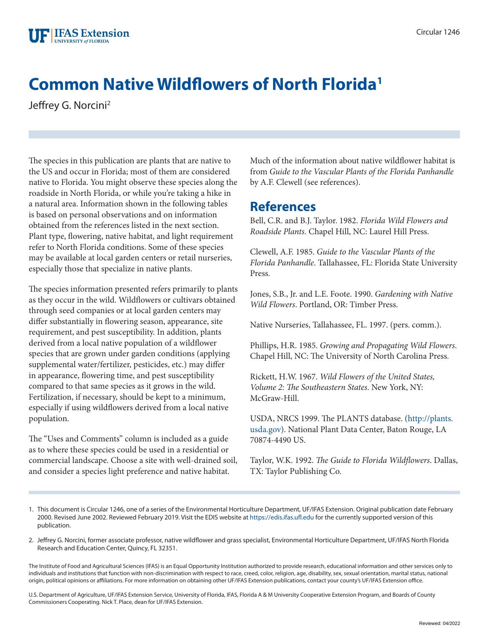

## **Common Native Wildflowers of North Florida1**

Jeffrey G. Norcini2

The species in this publication are plants that are native to the US and occur in Florida; most of them are considered native to Florida. You might observe these species along the roadside in North Florida, or while you're taking a hike in a natural area. Information shown in the following tables is based on personal observations and on information obtained from the references listed in the next section. Plant type, flowering, native habitat, and light requirement refer to North Florida conditions. Some of these species may be available at local garden centers or retail nurseries, especially those that specialize in native plants.

The species information presented refers primarily to plants as they occur in the wild. Wildflowers or cultivars obtained through seed companies or at local garden centers may differ substantially in flowering season, appearance, site requirement, and pest susceptibility. In addition, plants derived from a local native population of a wildflower species that are grown under garden conditions (applying supplemental water/fertilizer, pesticides, etc.) may differ in appearance, flowering time, and pest susceptibility compared to that same species as it grows in the wild. Fertilization, if necessary, should be kept to a minimum, especially if using wildflowers derived from a local native population.

The "Uses and Comments" column is included as a guide as to where these species could be used in a residential or commercial landscape. Choose a site with well-drained soil, and consider a species light preference and native habitat.

Much of the information about native wildflower habitat is from *Guide to the Vascular Plants of the Florida Panhandle* by A.F. Clewell (see references).

## **References**

Bell, C.R. and B.J. Taylor. 1982. *Florida Wild Flowers and Roadside Plants.* Chapel Hill, NC: Laurel Hill Press.

Clewell, A.F. 1985. *Guide to the Vascular Plants of the Florida Panhandle*. Tallahassee, FL: Florida State University Press.

Jones, S.B., Jr. and L.E. Foote. 1990. *Gardening with Native Wild Flowers*. Portland, OR: Timber Press.

Native Nurseries, Tallahassee, FL. 1997. (pers. comm.).

Phillips, H.R. 1985. *Growing and Propagating Wild Flowers*. Chapel Hill, NC: The University of North Carolina Press.

Rickett, H.W. 1967. *Wild Flowers of the United States, Volume 2: The Southeastern States*. New York, NY: McGraw-Hill.

USDA, NRCS 1999. The PLANTS database. ([http://plants.](http://plants.usda.gov) [usda.gov\)](http://plants.usda.gov). National Plant Data Center, Baton Rouge, LA 70874-4490 US.

Taylor, W.K. 1992. *The Guide to Florida Wildflowers*. Dallas, TX: Taylor Publishing Co.

- 1. This document is Circular 1246, one of a series of the Environmental Horticulture Department, UF/IFAS Extension. Original publication date February 2000. Revised June 2002. Reviewed February 2019. Visit the EDIS website at <https://edis.ifas.ufl.edu> for the currently supported version of this publication.
- 2. Jeffrey G. Norcini, former associate professor, native wildflower and grass specialist, Environmental Horticulture Department, UF/IFAS North Florida Research and Education Center, Quincy, FL 32351.

The Institute of Food and Agricultural Sciences (IFAS) is an Equal Opportunity Institution authorized to provide research, educational information and other services only to individuals and institutions that function with non-discrimination with respect to race, creed, color, religion, age, disability, sex, sexual orientation, marital status, national origin, political opinions or affiliations. For more information on obtaining other UF/IFAS Extension publications, contact your county's UF/IFAS Extension office.

U.S. Department of Agriculture, UF/IFAS Extension Service, University of Florida, IFAS, Florida A & M University Cooperative Extension Program, and Boards of County Commissioners Cooperating. Nick T. Place, dean for UF/IFAS Extension.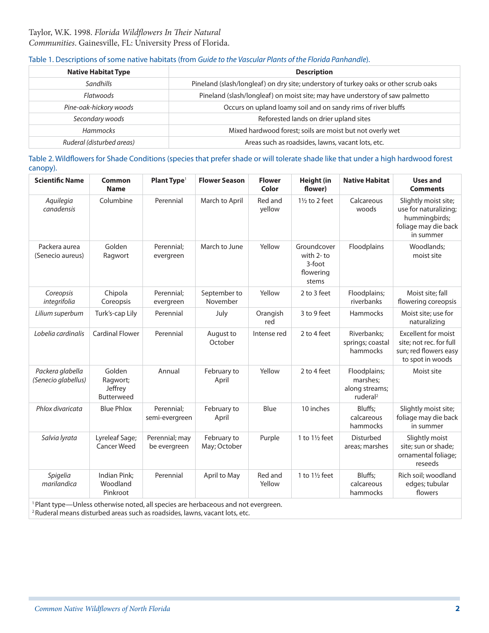## Table 1. Descriptions of some native habitats (from *Guide to the Vascular Plants of the Florida Panhandle*).

| <b>Native Habitat Type</b> | <b>Description</b>                                                                   |  |  |  |
|----------------------------|--------------------------------------------------------------------------------------|--|--|--|
| Sandhills                  | Pineland (slash/longleaf) on dry site; understory of turkey oaks or other scrub oaks |  |  |  |
| Flatwoods                  | Pineland (slash/longleaf) on moist site; may have understory of saw palmetto         |  |  |  |
| Pine-oak-hickory woods     | Occurs on upland loamy soil and on sandy rims of river bluffs                        |  |  |  |
| Secondary woods            | Reforested lands on drier upland sites                                               |  |  |  |
| Hammocks                   | Mixed hardwood forest; soils are moist but not overly wet                            |  |  |  |
| Ruderal (disturbed areas)  | Areas such as roadsides, lawns, vacant lots, etc.                                    |  |  |  |

Table 2. Wildflowers for Shade Conditions (species that prefer shade or will tolerate shade like that under a high hardwood forest canopy).

| <b>Scientific Name</b>                                                                                                                                                                                          | <b>Common</b><br><b>Name</b>                       | Plant Type <sup>1</sup>        | <b>Flower Season</b>        | <b>Flower</b><br>Color | <b>Height (in</b><br>flower)                                | <b>Native Habitat</b>                                              | <b>Uses and</b><br><b>Comments</b>                                                                  |  |
|-----------------------------------------------------------------------------------------------------------------------------------------------------------------------------------------------------------------|----------------------------------------------------|--------------------------------|-----------------------------|------------------------|-------------------------------------------------------------|--------------------------------------------------------------------|-----------------------------------------------------------------------------------------------------|--|
| Aquilegia<br>canadensis                                                                                                                                                                                         | Columbine                                          | Perennial                      | March to April              | Red and<br>yellow      | $1\frac{1}{2}$ to 2 feet                                    | Calcareous<br>woods                                                | Slightly moist site;<br>use for naturalizing;<br>hummingbirds;<br>foliage may die back<br>in summer |  |
| Packera aurea<br>(Senecio aureus)                                                                                                                                                                               | Golden<br>Ragwort                                  | Perennial;<br>evergreen        | March to June               | Yellow                 | Groundcover<br>with 2-to<br>$3$ -foot<br>flowering<br>stems | Floodplains                                                        | Woodlands;<br>moist site                                                                            |  |
| Coreopsis<br>integrifolia                                                                                                                                                                                       | Chipola<br>Coreopsis                               | Perennial;<br>evergreen        | September to<br>November    | Yellow<br>2 to 3 feet  |                                                             | Floodplains;<br>riverbanks                                         | Moist site; fall<br>flowering coreopsis                                                             |  |
| Lilium superbum                                                                                                                                                                                                 | Turk's-cap Lily                                    | Perennial                      | July                        | Orangish<br>red        | 3 to 9 feet                                                 | Hammocks                                                           | Moist site; use for<br>naturalizing                                                                 |  |
| Lobelia cardinalis                                                                                                                                                                                              | <b>Cardinal Flower</b>                             | Perennial                      | August to<br>October        | Intense red            | 2 to 4 feet                                                 | Riverbanks;<br>springs; coastal<br>hammocks                        | <b>Excellent for moist</b><br>site; not rec. for full<br>sun; red flowers easy<br>to spot in woods  |  |
| Packera glabella<br>(Senecio glabellus)                                                                                                                                                                         | Golden<br>Ragwort;<br>Jeffrey<br><b>Butterweed</b> | Annual                         | February to<br>April        | Yellow                 | 2 to 4 feet                                                 | Floodplains;<br>marshes;<br>along streams;<br>ruderal <sup>2</sup> | Moist site                                                                                          |  |
| Phlox divaricata                                                                                                                                                                                                | <b>Blue Phlox</b>                                  | Perennial;<br>semi-evergreen   | February to<br>April        | Blue                   | 10 inches                                                   | Bluffs:<br>calcareous<br>hammocks                                  | Slightly moist site;<br>foliage may die back<br>in summer                                           |  |
| Salvia lyrata                                                                                                                                                                                                   | Lyreleaf Sage;<br><b>Cancer Weed</b>               | Perennial; may<br>be evergreen | February to<br>May; October | Purple                 | 1 to $1\frac{1}{2}$ feet                                    | Disturbed<br>areas; marshes                                        | Slightly moist<br>site; sun or shade;<br>ornamental foliage;<br>reseeds                             |  |
| Spigelia<br>marilandica                                                                                                                                                                                         | Indian Pink;<br>Woodland<br>Pinkroot               | Perennial                      | April to May                | Red and<br>Yellow      | 1 to $1\frac{1}{2}$ feet                                    | Bluffs;<br>calcareous<br>hammocks                                  | Rich soil; woodland<br>edges; tubular<br>flowers                                                    |  |
| <sup>1</sup> Plant type—Unless otherwise noted, all species are herbaceous and not evergreen.<br>ويغير ويغمل فيرجع ويراد والمساوية والرفول والمراوية والمستورة والمستحقق والسياسة والمستقرر والمستقرر والمستقرر |                                                    |                                |                             |                        |                                                             |                                                                    |                                                                                                     |  |

2 Ruderal means disturbed areas such as roadsides, lawns, vacant lots, etc.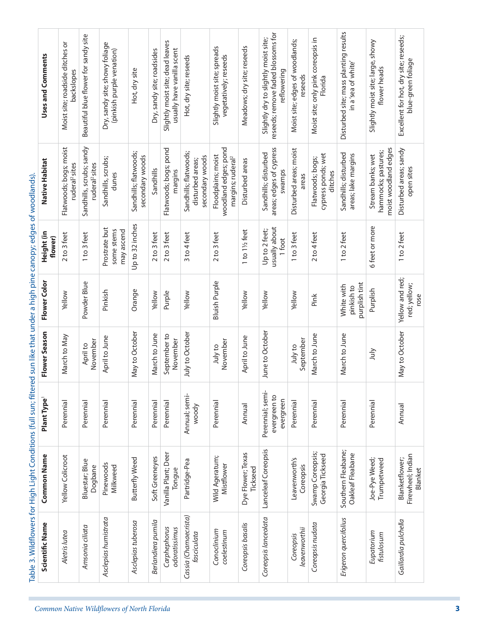| Uses and Comments     | Moist site; roadside ditches or<br>backslopes        | Beautiful blue flower for sandy site                   | Dry, sandy site; showy foliage<br>(pinkish purple venation) | Hot, dry site                            | Dry, sandy site; roadsides | Slightly moist site; dead leaves<br>usually have vanilla scent | Hot, dry site; reseeds                                       | Slightly moist site; spreads<br>vegetatively; reseeds                       | Meadows; dry site; reseeds    | reseeds; remove faded blossoms for<br>Slightly dry to slightly moist site;<br>reflowering | Moist site; edges of woodlands;<br>reseeds | Moist site; only pink coreopsis in<br>Florida     | Disturbed site; mass planting results<br>in a'sea of white' | Slightly moist site; large, showy<br>flower heads                | Excellent for hot, dry site; reseeds;<br>blue-green foliage |
|-----------------------|------------------------------------------------------|--------------------------------------------------------|-------------------------------------------------------------|------------------------------------------|----------------------------|----------------------------------------------------------------|--------------------------------------------------------------|-----------------------------------------------------------------------------|-------------------------------|-------------------------------------------------------------------------------------------|--------------------------------------------|---------------------------------------------------|-------------------------------------------------------------|------------------------------------------------------------------|-------------------------------------------------------------|
| Native Habitat        | Flatwoods; bogs; moist<br>ruderal <sup>2</sup> sites | Sandhills, scrubs; sandy<br>ruderal <sup>2</sup> sites | Sandhills, scrubs;<br>dunes                                 | Sandhills; flatwoods;<br>secondary woods | Sandhills                  | Flatwoods; bogs; pond<br>margins                               | Sandhills; flatwoods;<br>secondary woods<br>disturbed areas; | woodland edges; pond<br>Floodplains; moist<br>margins; ruderal <sup>2</sup> | Disturbed areas               | areas; edges of cypress<br>Sandhills; disturbed<br>swamps                                 | Disturbed areas; moist<br>areas            | cypress ponds; wet<br>Flatwoods; bogs;<br>ditches | Sandhills; disturbed<br>areas; lake margins                 | moist woodland edges<br>hammocks; pastures;<br>Stream banks; wet | Disturbed areas; sandy<br>open sites                        |
| Height (in<br>flower) | 2 to 3 feet                                          | 1 to 3 feet                                            | Prostrate but<br>some stems<br>may ascend                   | Up to 32 inches                          | 2 to 3 feet                | 2 to 3 feet                                                    | 3 to 4 feet                                                  | 2 to 3 feet                                                                 | 1 to 11/2 feet                | usually about<br>Up to 2 feet;<br>1 foot                                                  | 1 to 3 feet                                | $2$ to 4 feet                                     | 1 to 2 feet                                                 | 6 feet or more                                                   | 1 to 2 feet                                                 |
| Flower Color          | Yellow                                               | Powder Blue                                            | Pinkish                                                     | Orange                                   | Yellow                     | Purple                                                         | Yellow                                                       | <b>Bluish Purple</b>                                                        | Yellow                        | Yellow                                                                                    | Yellow                                     | Pink                                              | purplish tint<br>White with<br>pinkish to                   | Purplish                                                         | Yellow and red;<br>red; yellow;<br>rose                     |
| Flower Season         | March to May                                         | November<br>April to                                   | April to June                                               | May to October                           | March to June              | September to<br>November                                       | July to October                                              | November<br>July to                                                         | April to June                 | June to October                                                                           | September<br>July to                       | March to June                                     | March to June                                               | ylnr                                                             | May to October                                              |
| Plant Type            | Perennial                                            | Perennial                                              | Perennial                                                   | Perennial                                | Perennial                  | Perennial                                                      | Annual; semi-<br>woody                                       | Perennial                                                                   | Annual                        | Perennial; semi-<br>evergreen to<br>evergreen                                             | Perennial                                  | Perennial                                         | Perennial                                                   | Perennial                                                        | Annual                                                      |
| <b>Common Name</b>    | Yellow Colicroot                                     | Bluestar; Blue<br>Dogbane                              | Pinewoods<br>Milkweed                                       | Butterfly Weed                           | Soft Greeneyes             | Vanilla Plant; Deer<br>Tongue                                  | Partridge-Pea                                                | Wild Ageratum;<br>Mistflower                                                | Dye Flower; Texas<br>Tickseed | Lanceleaf Coreopsis                                                                       | Leavenworth's<br>Coreopsis                 | Swamp Coreopsis;<br>Georgia Tickseed              | Southern Fleabane;<br>Oakleaf Fleabane                      | Joe-Pye Weed;<br>Trumpetweed                                     | Firewheel; Indian<br>Blanketflower;<br>Blanket              |
| Scientific Name       | Aletris lutea                                        | Amsonia ciliata                                        | Asclepias humistrata                                        | Asclepias tuberosa                       | Berlandiera pumila         | Carphephorus<br>odoratissimus                                  | Cassia (Chamaecrista)<br>fasciculata                         | Conoclinium<br>coelestinum                                                  | Coreopsis basalis             | Coreopsis lanceolata                                                                      | leavenworthii<br>Coreopsis                 | Coreopsis nudata                                  | Erigeron quercifolius                                       | Eupatorium<br>fistulosum                                         | Gaillardia pulchella                                        |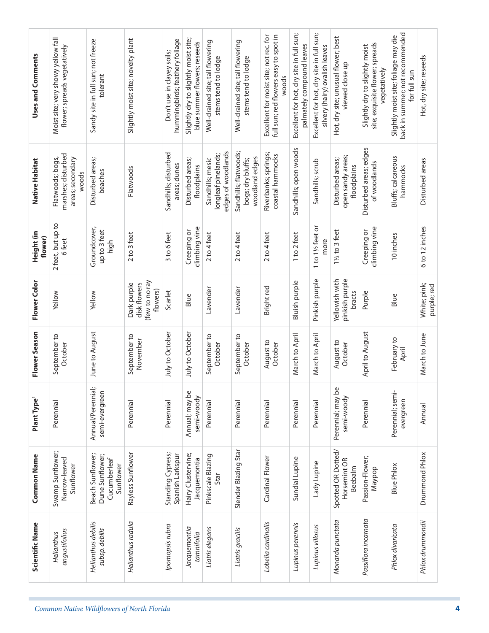| Uses and Comments       | Moist site; very showy yellow fall<br>flower; spreads vegetatively  | Sandy site in full sun; not freeze<br>tolerant                   | Slightly moist site; novelty plant                        | hummingbirds; feathery foliage<br>Don't use in clayey soils; | Slightly dry to slightly moist site;<br>blue summer flowers; reseeds | Well-drained site; tall flowering<br>stems tend to lodge      | Well-drained site; tall flowering<br>stems tend to lodge     | full sun; red flowers easy to spot in<br>Excellent for moist site; not rec. for<br>woods | Excellent for hot, dry site in full sun;<br>palmately compound leaves | Excellent for hot, dry site in full sun;<br>silvery (hairy) ovalish leaves | Hot, dry site; unusual flower; best<br>viewed close up | site; exquisite flower; spreads<br>Slightly dry to slightly moist<br>vegetatively | back in summer; not recommended<br>Slightly moist site; foliage may die<br>for full sun | Hot, dry site; reseeds      |
|-------------------------|---------------------------------------------------------------------|------------------------------------------------------------------|-----------------------------------------------------------|--------------------------------------------------------------|----------------------------------------------------------------------|---------------------------------------------------------------|--------------------------------------------------------------|------------------------------------------------------------------------------------------|-----------------------------------------------------------------------|----------------------------------------------------------------------------|--------------------------------------------------------|-----------------------------------------------------------------------------------|-----------------------------------------------------------------------------------------|-----------------------------|
| Native Habitat          | marshes; disturbed<br>Flatwoods; bogs,<br>areas; secondary<br>woods | Disturbed areas;<br>beaches                                      | Flatwoods                                                 | Sandhills; disturbed<br>areas; dunes                         | Disturbed areas;<br>floodplains                                      | edges of woodlands<br>longleaf pinelands;<br>Sandhills; mesic | Sandhills; flatwoods;<br>woodland edges<br>bogs; dry bluffs; | Riverbanks; springs;<br>coastal hammocks                                                 | Sandhills; open woods                                                 | Sandhills; scrub                                                           | open sandy areas;<br>Disturbed areas;<br>floodplains   | Disturbed areas; edges<br>of woodlands                                            | Bluffs; calcareous<br>hammocks                                                          | Disturbed areas             |
| Height (in<br>flower)   | 2 feet, but up to<br>6 feet                                         | Groundcover,<br>up to 3 feet<br>high                             | 2 to 3 feet                                               | 3 to 6 feet                                                  | climbing vine<br>Creeping or                                         | 2 to 4 feet                                                   | $2$ to 4 feet                                                | $2$ to 4 feet                                                                            | 1 to 2 feet                                                           | 1 to 11/2 feet or<br>more                                                  | 11/2 to 3 feet                                         | climbing vine<br>Creeping or                                                      | 10 inches                                                                               | 6 to 12 inches              |
| Flower Color            | Yellow                                                              | Yellow                                                           | (few to no ray<br>disk flowers<br>Dark purple<br>flowers) | Scarlet                                                      | Blue                                                                 | Lavender                                                      | Lavender                                                     | Bright red                                                                               | Bluish purple                                                         | Pinkish purple                                                             | pinkish purple<br>Yellowish with<br>bracts             | Purple                                                                            | Blue                                                                                    | White; pink;<br>purple; red |
| Flower Season           | September to<br>October                                             | June to August                                                   | September to<br>November                                  | July to October                                              | July to October                                                      | September to<br>October                                       | September to<br>October                                      | August to<br>October                                                                     | March to April                                                        | March to April                                                             | August to<br>October                                   | April to August                                                                   | February to<br>April                                                                    | March to June               |
| Plant Type <sup>1</sup> | Perennial                                                           | Annual/Perennial;<br>semi-evergreen                              | Perennial                                                 | Perennial                                                    | Annual; may be<br>semi-woody                                         | Perennial                                                     | Perennial                                                    | Perennial                                                                                | Perennial                                                             | Perennial                                                                  | Perennial; may be<br>semi-woody                        | Perennial                                                                         | Perennial; semi-<br>evergreen                                                           | Annual                      |
| <b>Common Name</b>      | Swamp Sunflower;<br>Narrow-leaved<br>Sunflower                      | Beach Sunflower;<br>Dune Sunflower;<br>Cucumberleaf<br>Sunflower | Rayless Sunflower                                         | Standing Cypress;<br>Spanish Larkspur                        | Hairy Clustervine;<br>Jacquemontia                                   | Pinkscale Blazing<br>Star                                     | Slender Blazing Star                                         | Cardinal Flower                                                                          | Sundial Lupine                                                        | Lady Lupine                                                                | Spotted OR Dotted/<br>Horsemint OR<br>Beebalm          | Passion-Flower;<br>Naypop                                                         | <b>Blue Phlox</b>                                                                       | Drummond Phlox              |
| Scientific Name         | angustifolius<br>Helianthus                                         | Helianthus debilis<br>subsp. debilis                             | Helianthus radula                                         | Ipomopsis rubra                                              | Jacquemontia<br>tamnifolia                                           | Liatris elegans                                               | Liatris gracilis                                             | Lobelia cardinalis                                                                       | Lupinus perennis                                                      | Lupinus villosus                                                           | Monarda punctata                                       | Passiflora incarnata                                                              | Phlox divaricata                                                                        | Phlox drummondii            |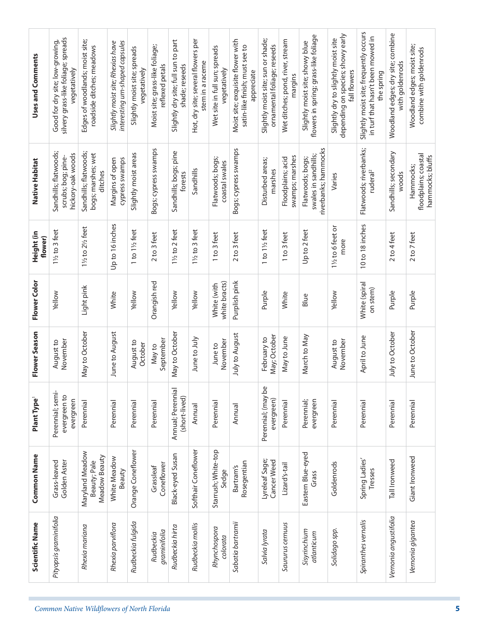| Uses and Comments       | silvery grass-like foliage; spreads<br>Good for dry site; low-growing,<br>vegetatively | Edges of woodlands; moist site;<br>roadside ditches; meadows | interesting urn-shaped capsules<br>Slightly moist site; Rhexias have | Slightly moist site; spreads<br>vegetatively | Moist site; grass-like foliage;<br>reflexed petals | Slightly dry site; full sun to part<br>shade; reseeds | Hot, dry site; several flowers per<br>stem in a raceme | Wet site in full sun; spreads<br>vegetatively | Moist site; exquisite flower with<br>satin-like finish; must see to<br>appreciate | Slightly moist site; sun or shade;<br>ornamental foliage; reseeds | Wet ditches; pond, river, stream<br>margins | flowers in spring; grass-like foliage<br>Slightly moist site; showy blue | depending on species; showy early<br>Slightly dry to slightly moist site<br>fall flowers | Slightly moist site; frequently occurs<br>in turf that hasn't been mowed in<br>the spring | Woodland edges; dry site; combine<br>with goldenrods | Woodland edges; moist site;<br>combine with goldenrods |
|-------------------------|----------------------------------------------------------------------------------------|--------------------------------------------------------------|----------------------------------------------------------------------|----------------------------------------------|----------------------------------------------------|-------------------------------------------------------|--------------------------------------------------------|-----------------------------------------------|-----------------------------------------------------------------------------------|-------------------------------------------------------------------|---------------------------------------------|--------------------------------------------------------------------------|------------------------------------------------------------------------------------------|-------------------------------------------------------------------------------------------|------------------------------------------------------|--------------------------------------------------------|
| Native Habitat          | Sandhills; flatwoods;<br>hickory-oak woods<br>scrubs; bog; pine-                       | Sandhills; flatwoods;<br>bogs; marshes; wet<br>ditches       | Margins of open<br>cypress swamps                                    | Slightly moist areas                         | Bogs; cypress swamps                               | Sandhills; bogs; pine<br>forests                      | Sandhills                                              | Flatwoods; bogs;<br>coastal swales            | Bogs; cypress swamps                                                              | Disturbed areas;<br>marshes                                       | swamps; marshes<br>Floodplains; acid        | riverbanks; hammocks<br>swales in sandhills;<br>Flatwoods; bogs;         | Varies                                                                                   | Flatwoods; riverbanks;<br>ruderal <sup>2</sup>                                            | Sandhills; secondary<br>woods                        | floodplains; coastal<br>hammocks; bluffs<br>Hammocks;  |
| Height (in<br>flower)   | 11/2 to 3 feet                                                                         | 11/2 to 21/2 feet                                            | Up to 16 inches                                                      | 1 to 11/2 feet                               | 2 to 3 feet                                        | 11/2 to 2 feet                                        | 11/2 to 3 feet                                         | 1 to 3 feet                                   | 2 to 3 feet                                                                       | 1 to 11/2 feet                                                    | 1 to 3 feet                                 | Up to 2 feet                                                             | 11/2 to 6 feet or<br>more                                                                | 10 to 18 inches                                                                           | $2$ to 4 feet                                        | 2 to 7 feet                                            |
| Flower Color            | Yellow                                                                                 | Light pink                                                   | White                                                                | Yellow                                       | Orangish red                                       | Yellow                                                | Yellow                                                 | white bracts)<br>White (with                  | Purplish pink                                                                     | Purple                                                            | White                                       | Blue                                                                     | Yellow                                                                                   | White (spiral<br>on stem)                                                                 | Purple                                               | Purple                                                 |
| Flower Season           | November<br>August to                                                                  | May to October                                               | June to August                                                       | August to<br>October                         | September<br>Nay to                                | May to October                                        | June to July                                           | November<br>June to                           | July to August                                                                    | May; October<br>February to                                       | May to June                                 | March to May                                                             | November<br>August to                                                                    | April to June                                                                             | July to October                                      | June to October                                        |
| Plant Type <sup>1</sup> | Perennial; semi-<br>evergreen to<br>evergreen                                          | Perennial                                                    | Perennial                                                            | Perennial                                    | Perennial                                          | Annual; Perennial<br>(short-lived)                    | Annual                                                 | Perennial                                     | Annual                                                                            | Perennial; (may be<br>evergreen)                                  | Perennial                                   | evergreen<br>Perennial;                                                  | Perennial                                                                                | Perennial                                                                                 | Perennial                                            | Perennial                                              |
| <b>Common Name</b>      | Golden Aster<br>Grass-leaved                                                           | Maryland Meadow<br>Meadow Beauty<br>Beauty; Pale             | White Meadow<br>Beauty                                               | Orange Coneflower                            | Coneflower<br>Grassleaf                            | Black-eyed Susan                                      | Softhair Coneflower                                    | Starrush; White-top<br>Sedge                  | Rosegentian<br>Bartram's                                                          | Lyreleaf Sage;<br>Cancer Weed                                     | Lizard's-tail                               | Eastern Blue-eyed<br>Grass                                               | Goldenrods                                                                               | Spring Ladies'<br>Tresses                                                                 | Tall Ironweed                                        | Giant Ironweed                                         |
| Scientific Name         | Pityopsis graminifolia                                                                 | Rhexia mariana                                               | Rhexia parviflora                                                    | Rudbeckia fulgida                            | graminifolia<br>Rudbeckia                          | Rudbeckia hirta                                       | Rudbeckia mollis                                       | Rhynchospora<br>colorata                      | Sabatia bartramii                                                                 | Salvia lyrata                                                     | Saururus cemuus                             | Sisyrinchium<br>atlanticum                                               | Solidago spp.                                                                            | Spiranthes vernalis                                                                       | Vernonia angustifolia                                | Vernonia gigantea                                      |